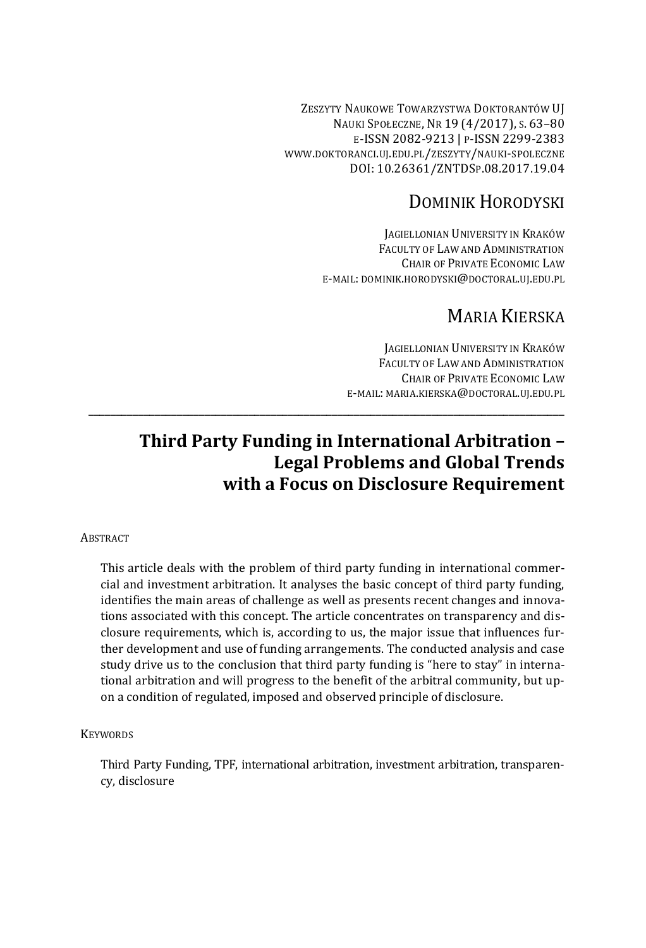ZESZYTY NAUKOWE TOWARZYSTWA DOKTORANTÓW UJ NAUKI SPOŁECZNE, NR 19 (4/2017), S. 63–80 E-ISSN 2082-9213 | P-ISSN 2299-2383 WWW.DOKTORANCI.UJ.EDU.PL/ZESZYTY/NAUKI-SPOLECZNE DOI: 10.26361/ZNTDSP.08.2017.19.04

# DOMINIK HORODYSKI

JAGIELLONIAN UNIVERSITY IN KRAKÓW FACULTY OF LAW AND ADMINISTRATION CHAIR OF PRIVATE ECONOMIC LAW E-MAIL: DOMINIK.HORODYSKI@DOCTORAL.UJ.EDU.PL

# MARIA KIERSKA

JAGIELLONIAN UNIVERSITY IN KRAKÓW FACULTY OF LAW AND ADMINISTRATION CHAIR OF PRIVATE ECONOMIC LAW E-MAIL: MARIA.KIERSKA@DOCTORAL.UJ.EDU.PL

# **Third Party Funding in International Arbitration – Legal Problems and Global Trends with a Focus on Disclosure Requirement**

\_\_\_\_\_\_\_\_\_\_\_\_\_\_\_\_\_\_\_\_\_\_\_\_\_\_\_\_\_\_\_\_\_\_\_\_\_\_\_\_\_\_\_\_\_\_\_\_\_\_\_\_\_\_\_\_\_\_\_\_\_\_\_\_\_\_\_\_\_\_\_\_\_\_\_\_\_\_\_\_\_\_\_\_\_\_

## **ABSTRACT**

This article deals with the problem of third party funding in international commercial and investment arbitration. It analyses the basic concept of third party funding, identifies the main areas of challenge as well as presents recent changes and innovations associated with this concept. The article concentrates on transparency and disclosure requirements, which is, according to us, the major issue that influences further development and use of funding arrangements. The conducted analysis and case study drive us to the conclusion that third party funding is "here to stay" in international arbitration and will progress to the benefit of the arbitral community, but upon a condition of regulated, imposed and observed principle of disclosure.

## **KEYWORDS**

Third Party Funding, TPF, international arbitration, investment arbitration, transparency, disclosure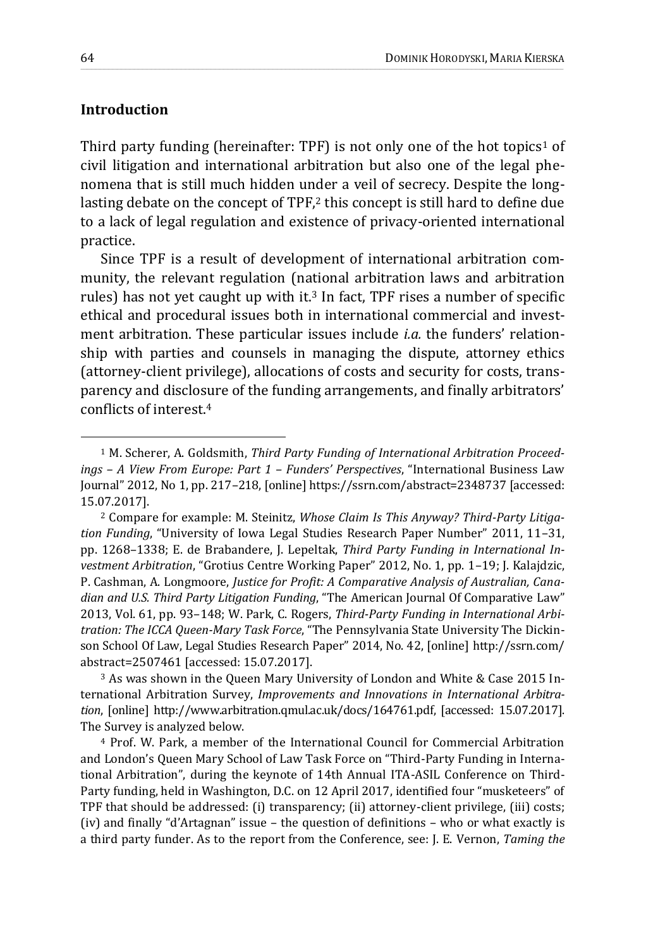## **Introduction**

Third party funding (hereinafter: TPF) is not only one of the hot topics<sup>1</sup> of civil litigation and international arbitration but also one of the legal phenomena that is still much hidden under a veil of secrecy. Despite the longlasting debate on the concept of TPF,<sup>2</sup> this concept is still hard to define due to a lack of legal regulation and existence of privacy-oriented international practice.

\_\_\_\_\_\_\_\_\_\_\_\_\_\_\_\_\_\_\_\_\_\_\_\_\_\_\_\_\_\_\_\_\_\_\_\_\_\_\_\_\_\_\_\_\_\_\_\_\_\_\_\_\_\_\_\_\_\_\_\_\_\_\_\_\_\_\_\_\_\_\_\_\_\_\_\_\_\_\_\_\_\_\_\_\_\_\_\_\_\_\_\_\_\_\_\_\_\_\_\_\_\_\_\_\_\_\_\_\_\_\_\_\_\_\_\_\_\_\_\_\_\_\_\_\_\_\_\_\_\_\_\_\_\_\_\_\_\_\_\_\_\_\_\_\_\_\_\_\_\_\_\_\_\_\_\_\_\_\_\_\_\_\_\_\_\_\_\_\_\_\_\_\_\_\_\_\_\_\_\_\_\_\_\_\_\_\_\_\_\_\_\_\_\_\_\_\_\_\_\_\_\_\_\_\_\_\_\_\_\_\_\_\_\_\_\_\_\_\_\_\_\_\_\_\_\_

Since TPF is a result of development of international arbitration community, the relevant regulation (national arbitration laws and arbitration rules) has not yet caught up with it.<sup>3</sup> In fact, TPF rises a number of specific ethical and procedural issues both in international commercial and investment arbitration. These particular issues include *i.a.* the funders' relationship with parties and counsels in managing the dispute, attorney ethics (attorney-client privilege), allocations of costs and security for costs, transparency and disclosure of the funding arrangements, and finally arbitrators' conflicts of interest.<sup>4</sup>

<sup>3</sup> As was shown in the Queen Mary University of London and White & Case 2015 International Arbitration Survey, *Improvements and Innovations in International Arbitration*, [online] http://www.arbitration.qmul.ac.uk/docs/164761.pdf, [accessed: 15.07.2017]. The Survey is analyzed below.

<sup>4</sup> Prof. W. Park, a member of the International Council for Commercial Arbitration and London's Queen Mary School of Law Task Force on "Third-Party Funding in International Arbitration", during the keynote of 14th Annual ITA-ASIL Conference on Third-Party funding, held in Washington, D.C. on 12 April 2017, identified four "musketeers" of TPF that should be addressed: (i) transparency; (ii) attorney-client privilege, (iii) costs; (iv) and finally "d'Artagnan" issue – the question of definitions – who or what exactly is a third party funder. As to the report from the Conference, see: J. E. Vernon, *Taming the* 

<sup>1</sup> M. Scherer, A. Goldsmith, *Third Party Funding of International Arbitration Proceedings – A View From Europe: Part 1 – Funders' Perspectives*, "International Business Law Journal" 2012, No 1, pp. 217–218, [online] https://ssrn.com/abstract=2348737 [accessed: 15.07.2017].

<sup>2</sup> Compare for example: M. Steinitz, *Whose Claim Is This Anyway? Third-Party Litigation Funding*, "University of Iowa Legal Studies Research Paper Number" 2011, 11–31, pp. 1268–1338; E. de Brabandere, J. Lepeltak, *Third Party Funding in International Investment Arbitration*, "Grotius Centre Working Paper" 2012, No. 1, pp. 1–19; J. Kalajdzic, P. Cashman, A. Longmoore, *Justice for Profit: A Comparative Analysis of Australian, Canadian and U.S. Third Party Litigation Funding*, "The American Journal Of Comparative Law" 2013, Vol. 61, pp. 93–148; W. Park, C. Rogers, *Third-Party Funding in International Arbitration: The ICCA Queen-Mary Task Force*, "The Pennsylvania State University The Dickinson School Of Law, Legal Studies Research Paper" 2014, No. 42, [online] http://ssrn.com/ abstract=2507461 [accessed: 15.07.2017].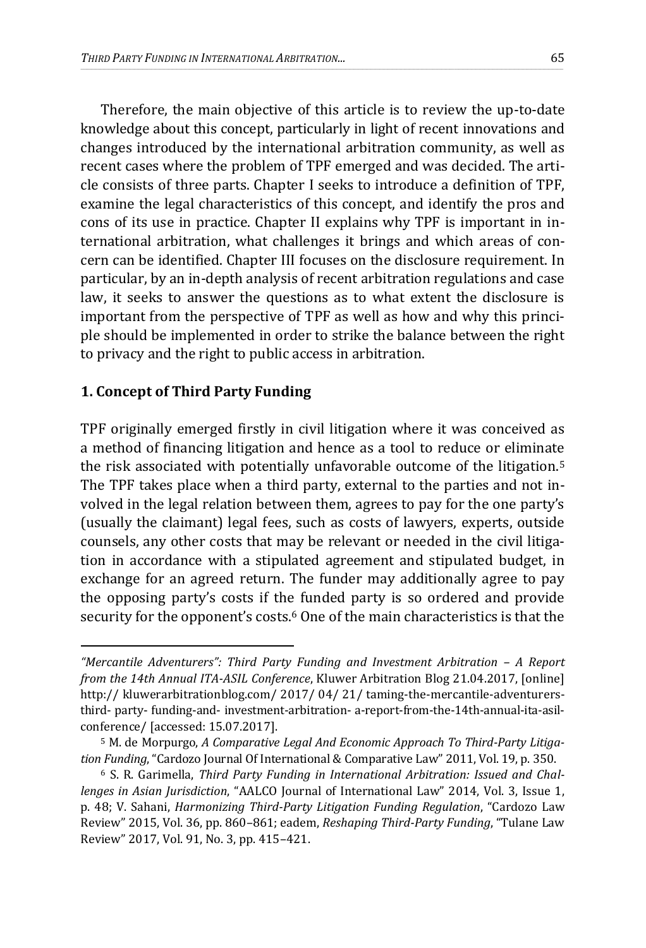Therefore, the main objective of this article is to review the up-to-date knowledge about this concept, particularly in light of recent innovations and changes introduced by the international arbitration community, as well as recent cases where the problem of TPF emerged and was decided. The article consists of three parts. Chapter I seeks to introduce a definition of TPF, examine the legal characteristics of this concept, and identify the pros and cons of its use in practice. Chapter II explains why TPF is important in international arbitration, what challenges it brings and which areas of concern can be identified. Chapter III focuses on the disclosure requirement. In particular, by an in-depth analysis of recent arbitration regulations and case law, it seeks to answer the questions as to what extent the disclosure is important from the perspective of TPF as well as how and why this principle should be implemented in order to strike the balance between the right to privacy and the right to public access in arbitration.

\_\_\_\_\_\_\_\_\_\_\_\_\_\_\_\_\_\_\_\_\_\_\_\_\_\_\_\_\_\_\_\_\_\_\_\_\_\_\_\_\_\_\_\_\_\_\_\_\_\_\_\_\_\_\_\_\_\_\_\_\_\_\_\_\_\_\_\_\_\_\_\_\_\_\_\_\_\_\_\_\_\_\_\_\_\_\_\_\_\_\_\_\_\_\_\_\_\_\_\_\_\_\_\_\_\_\_\_\_\_\_\_\_\_\_\_\_\_\_\_\_\_\_\_\_\_\_\_\_\_\_\_\_\_\_\_\_\_\_\_\_\_\_\_\_\_\_\_\_\_\_\_\_\_\_\_\_\_\_\_\_\_\_\_\_\_\_\_\_\_\_\_\_\_\_\_\_\_\_\_\_\_\_\_\_\_\_\_\_\_\_\_\_\_\_\_\_\_\_\_\_\_\_\_\_\_\_\_\_\_\_\_\_\_\_\_\_\_\_\_\_\_\_\_\_\_

## **1. Concept of Third Party Funding**

 $\overline{a}$ 

TPF originally emerged firstly in civil litigation where it was conceived as a method of financing litigation and hence as a tool to reduce or eliminate the risk associated with potentially unfavorable outcome of the litigation.<sup>5</sup> The TPF takes place when a third party, external to the parties and not involved in the legal relation between them, agrees to pay for the one party's (usually the claimant) legal fees, such as costs of lawyers, experts, outside counsels, any other costs that may be relevant or needed in the civil litigation in accordance with a stipulated agreement and stipulated budget, in exchange for an agreed return. The funder may additionally agree to pay the opposing party's costs if the funded party is so ordered and provide security for the opponent's costs.<sup>6</sup> One of the main characteristics is that the

*<sup>&</sup>quot;Mercantile Adventurers": Third Party Funding and Investment Arbitration – A Report from the 14th Annual ITA-ASIL Conference*, Kluwer Arbitration Blog 21.04.2017, [online] http:// kluwerarbitrationblog.com/ 2017/ 04/ 21/ taming-the-mercantile-adventurersthird- party- funding-and- investment-arbitration- a-report-from-the-14th-annual-ita-asilconference/ [accessed: 15.07.2017].

<sup>5</sup> M. de Morpurgo, *A Comparative Legal And Economic Approach To Third-Party Litigation Funding*, "Cardozo Journal Of International & Comparative Law" 2011, Vol. 19, p. 350.

<sup>6</sup> S. R. Garimella, *Third Party Funding in International Arbitration: Issued and Challenges in Asian Jurisdiction*, "AALCO Journal of International Law" 2014, Vol. 3, Issue 1, p. 48; V. Sahani, *Harmonizing Third-Party Litigation Funding Regulation*, "Cardozo Law Review" 2015, Vol. 36, pp. 860–861; eadem, *Reshaping Third-Party Funding*, "Tulane Law Review" 2017, Vol. 91, No. 3, pp. 415–421.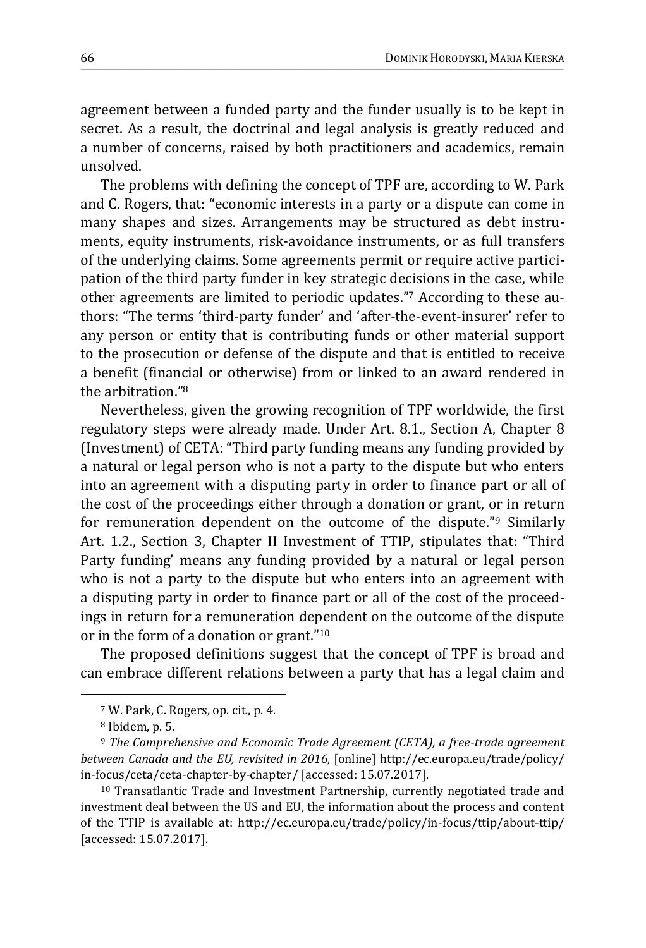agreement between a funded party and the funder usually is to be kept in secret. As a result, the doctrinal and legal analysis is greatly reduced and a number of concerns, raised by both practitioners and academics, remain unsolved.

\_\_\_\_\_\_\_\_\_\_\_\_\_\_\_\_\_\_\_\_\_\_\_\_\_\_\_\_\_\_\_\_\_\_\_\_\_\_\_\_\_\_\_\_\_\_\_\_\_\_\_\_\_\_\_\_\_\_\_\_\_\_\_\_\_\_\_\_\_\_\_\_\_\_\_\_\_\_\_\_\_\_\_\_\_\_\_\_\_\_\_\_\_\_\_\_\_\_\_\_\_\_\_\_\_\_\_\_\_\_\_\_\_\_\_\_\_\_\_\_\_\_\_\_\_\_\_\_\_\_\_\_\_\_\_\_\_\_\_\_\_\_\_\_\_\_\_\_\_\_\_\_\_\_\_\_\_\_\_\_\_\_\_\_\_\_\_\_\_\_\_\_\_\_\_\_\_\_\_\_\_\_\_\_\_\_\_\_\_\_\_\_\_\_\_\_\_\_\_\_\_\_\_\_\_\_\_\_\_\_\_\_\_\_\_\_\_\_\_\_\_\_\_\_\_\_

The problems with defining the concept of TPF are, according to W. Park and C. Rogers, that: "economic interests in a party or a dispute can come in many shapes and sizes. Arrangements may be structured as debt instruments, equity instruments, risk-avoidance instruments, or as full transfers of the underlying claims. Some agreements permit or require active participation of the third party funder in key strategic decisions in the case, while other agreements are limited to periodic updates."<sup>7</sup> According to these authors: "The terms 'third-party funder' and 'after-the-event-insurer' refer to any person or entity that is contributing funds or other material support to the prosecution or defense of the dispute and that is entitled to receive a benefit (financial or otherwise) from or linked to an award rendered in the arbitration."<sup>8</sup>

Nevertheless, given the growing recognition of TPF worldwide, the first regulatory steps were already made. Under Art. 8.1., Section A, Chapter 8 (Investment) of CETA: "Third party funding means any funding provided by a natural or legal person who is not a party to the dispute but who enters into an agreement with a disputing party in order to finance part or all of the cost of the proceedings either through a donation or grant, or in return for remuneration dependent on the outcome of the dispute."<sup>9</sup> Similarly Art. 1.2., Section 3, Chapter II Investment of TTIP, stipulates that: "Third Party funding' means any funding provided by a natural or legal person who is not a party to the dispute but who enters into an agreement with a disputing party in order to finance part or all of the cost of the proceedings in return for a remuneration dependent on the outcome of the dispute or in the form of a donation or grant."<sup>10</sup>

The proposed definitions suggest that the concept of TPF is broad and can embrace different relations between a party that has a legal claim and

<sup>7</sup> W. Park, C. Rogers, op. cit., p. 4.

<sup>8</sup> Ibidem, p. 5.

<sup>9</sup> *The Comprehensive and Economic Trade Agreement (CETA), a free-trade agreement between Canada and the EU, revisited in 2016*, [online] http://ec.europa.eu/trade/policy/ in-focus/ceta/ceta-chapter-by-chapter/ [accessed: 15.07.2017].

<sup>10</sup> Transatlantic Trade and Investment Partnership, currently negotiated trade and investment deal between the US and EU, the information about the process and content of the TTIP is available at: http://ec.europa.eu/trade/policy/in-focus/ttip/about-ttip/ [accessed: 15.07.2017].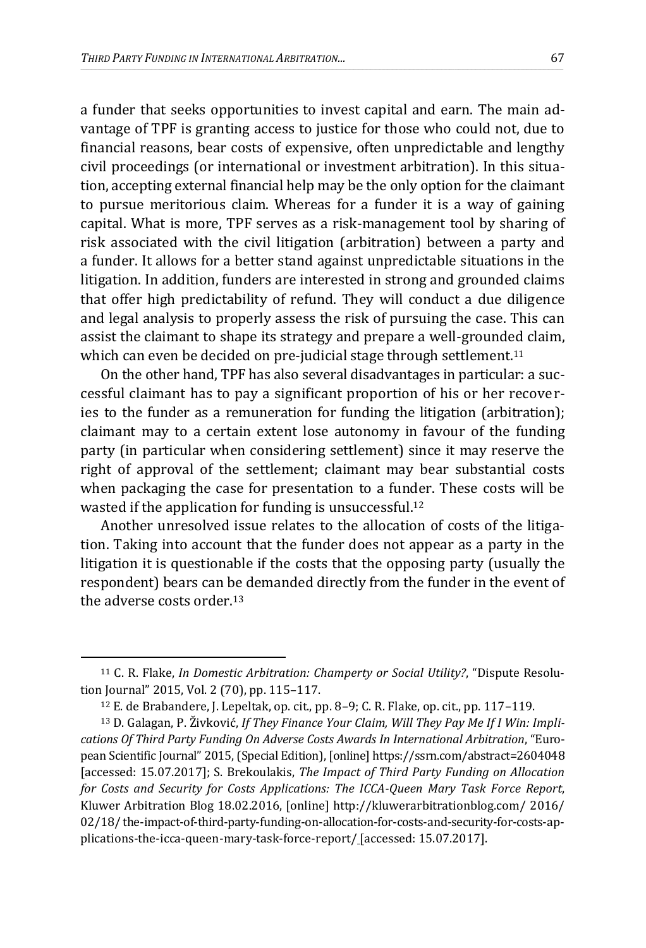a funder that seeks opportunities to invest capital and earn. The main advantage of TPF is granting access to justice for those who could not, due to financial reasons, bear costs of expensive, often unpredictable and lengthy civil proceedings (or international or investment arbitration). In this situation, accepting external financial help may be the only option for the claimant to pursue meritorious claim. Whereas for a funder it is a way of gaining capital. What is more, TPF serves as a risk-management tool by sharing of risk associated with the civil litigation (arbitration) between a party and a funder. It allows for a better stand against unpredictable situations in the litigation. In addition, funders are interested in strong and grounded claims that offer high predictability of refund. They will conduct a due diligence and legal analysis to properly assess the risk of pursuing the case. This can assist the claimant to shape its strategy and prepare a well-grounded claim, which can even be decided on pre-judicial stage through settlement.<sup>11</sup>

\_\_\_\_\_\_\_\_\_\_\_\_\_\_\_\_\_\_\_\_\_\_\_\_\_\_\_\_\_\_\_\_\_\_\_\_\_\_\_\_\_\_\_\_\_\_\_\_\_\_\_\_\_\_\_\_\_\_\_\_\_\_\_\_\_\_\_\_\_\_\_\_\_\_\_\_\_\_\_\_\_\_\_\_\_\_\_\_\_\_\_\_\_\_\_\_\_\_\_\_\_\_\_\_\_\_\_\_\_\_\_\_\_\_\_\_\_\_\_\_\_\_\_\_\_\_\_\_\_\_\_\_\_\_\_\_\_\_\_\_\_\_\_\_\_\_\_\_\_\_\_\_\_\_\_\_\_\_\_\_\_\_\_\_\_\_\_\_\_\_\_\_\_\_\_\_\_\_\_\_\_\_\_\_\_\_\_\_\_\_\_\_\_\_\_\_\_\_\_\_\_\_\_\_\_\_\_\_\_\_\_\_\_\_\_\_\_\_\_\_\_\_\_\_\_\_

On the other hand, TPF has also several disadvantages in particular: a successful claimant has to pay a significant proportion of his or her recoveries to the funder as a remuneration for funding the litigation (arbitration); claimant may to a certain extent lose autonomy in favour of the funding party (in particular when considering settlement) since it may reserve the right of approval of the settlement; claimant may bear substantial costs when packaging the case for presentation to a funder. These costs will be wasted if the application for funding is unsuccessful.<sup>12</sup>

Another unresolved issue relates to the allocation of costs of the litigation. Taking into account that the funder does not appear as a party in the litigation it is questionable if the costs that the opposing party (usually the respondent) bears can be demanded directly from the funder in the event of the adverse costs order.<sup>13</sup>

<sup>11</sup> C. R. Flake, *In Domestic Arbitration: Champerty or Social Utility?*, "Dispute Resolution Journal" 2015, Vol. 2 (70), pp. 115–117.

<sup>12</sup> E. de Brabandere, J. Lepeltak, op. cit., pp. 8–9; C. R. Flake, op. cit., pp. 117–119.

<sup>13</sup> D. Galagan, P. Živković, *If They Finance Your Claim, Will They Pay Me If I Win: Implications Of Third Party Funding On Adverse Costs Awards In International Arbitration*, "European Scientific Journal" 2015, (Special Edition), [online] https://ssrn.com/abstract=2604048 [accessed: 15.07.2017]; S. Brekoulakis, *The Impact of Third Party Funding on Allocation for Costs and Security for Costs Applications: The ICCA-Queen Mary Task Force Report*, Kluwer Arbitration Blog 18.02.2016, [online] http://kluwerarbitrationblog.com/ 2016/ 02/18/ the-impact-of-third-party-funding-on-allocation-for-costs-and-security-for-costs-applications-the-icca-queen-mary-task-force-report/ [accessed: 15.07.2017].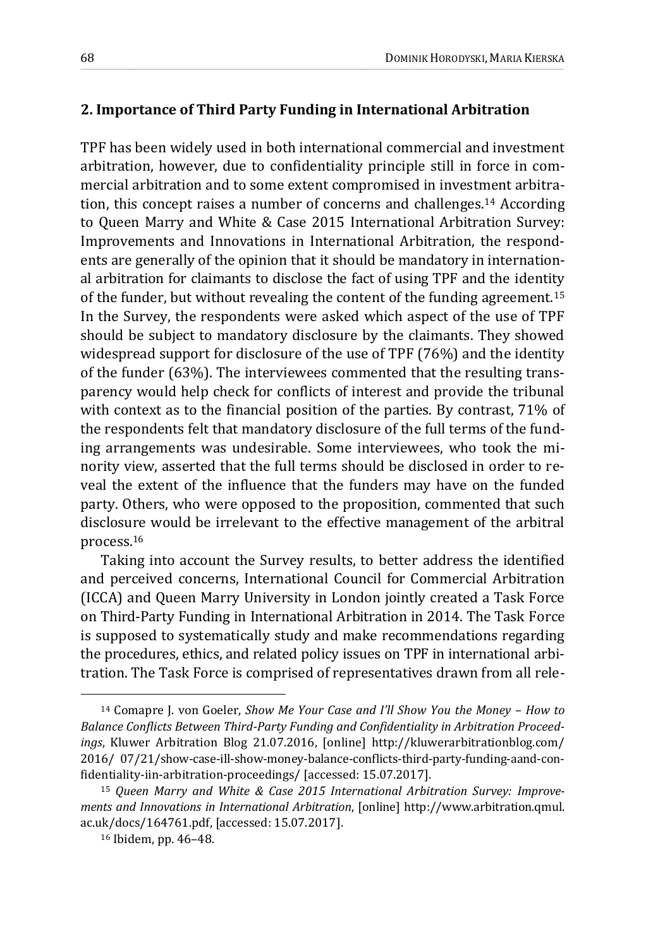## **2. Importance of Third Party Funding in International Arbitration**

\_\_\_\_\_\_\_\_\_\_\_\_\_\_\_\_\_\_\_\_\_\_\_\_\_\_\_\_\_\_\_\_\_\_\_\_\_\_\_\_\_\_\_\_\_\_\_\_\_\_\_\_\_\_\_\_\_\_\_\_\_\_\_\_\_\_\_\_\_\_\_\_\_\_\_\_\_\_\_\_\_\_\_\_\_\_\_\_\_\_\_\_\_\_\_\_\_\_\_\_\_\_\_\_\_\_\_\_\_\_\_\_\_\_\_\_\_\_\_\_\_\_\_\_\_\_\_\_\_\_\_\_\_\_\_\_\_\_\_\_\_\_\_\_\_\_\_\_\_\_\_\_\_\_\_\_\_\_\_\_\_\_\_\_\_\_\_\_\_\_\_\_\_\_\_\_\_\_\_\_\_\_\_\_\_\_\_\_\_\_\_\_\_\_\_\_\_\_\_\_\_\_\_\_\_\_\_\_\_\_\_\_\_\_\_\_\_\_\_\_\_\_\_\_\_\_

TPF has been widely used in both international commercial and investment arbitration, however, due to confidentiality principle still in force in commercial arbitration and to some extent compromised in investment arbitration, this concept raises a number of concerns and challenges.<sup>14</sup> According to Queen Marry and White & Case 2015 International Arbitration Survey: Improvements and Innovations in International Arbitration, the respondents are generally of the opinion that it should be mandatory in international arbitration for claimants to disclose the fact of using TPF and the identity of the funder, but without revealing the content of the funding agreement.<sup>15</sup> In the Survey, the respondents were asked which aspect of the use of TPF should be subject to mandatory disclosure by the claimants. They showed widespread support for disclosure of the use of TPF (76%) and the identity of the funder (63%). The interviewees commented that the resulting transparency would help check for conflicts of interest and provide the tribunal with context as to the financial position of the parties. By contrast, 71% of the respondents felt that mandatory disclosure of the full terms of the funding arrangements was undesirable. Some interviewees, who took the minority view, asserted that the full terms should be disclosed in order to reveal the extent of the influence that the funders may have on the funded party. Others, who were opposed to the proposition, commented that such disclosure would be irrelevant to the effective management of the arbitral process.<sup>16</sup>

Taking into account the Survey results, to better address the identified and perceived concerns, International Council for Commercial Arbitration (ICCA) and Queen Marry University in London jointly created a Task Force on Third-Party Funding in International Arbitration in 2014. The Task Force is supposed to systematically study and make recommendations regarding the procedures, ethics, and related policy issues on TPF in international arbitration. The Task Force is comprised of representatives drawn from all rele-

<sup>14</sup> Comapre J. von Goeler, *Show Me Your Case and I'll Show You the Money – How to Balance Conflicts Between Third-Party Funding and Confidentiality in Arbitration Proceedings*, Kluwer Arbitration Blog 21.07.2016, [online] http://kluwerarbitrationblog.com/ 2016/ 07/21/show-case-ill-show-money-balance-conflicts-third-party-funding-aand-confidentiality-iin-arbitration-proceedings/ [accessed: 15.07.2017].

<sup>15</sup> *Queen Marry and White & Case 2015 International Arbitration Survey: Improvements and Innovations in International Arbitration*, [online] http://www.arbitration.qmul. ac.uk/docs/164761.pdf, [accessed: 15.07.2017].

<sup>16</sup> Ibidem, pp. 46–48.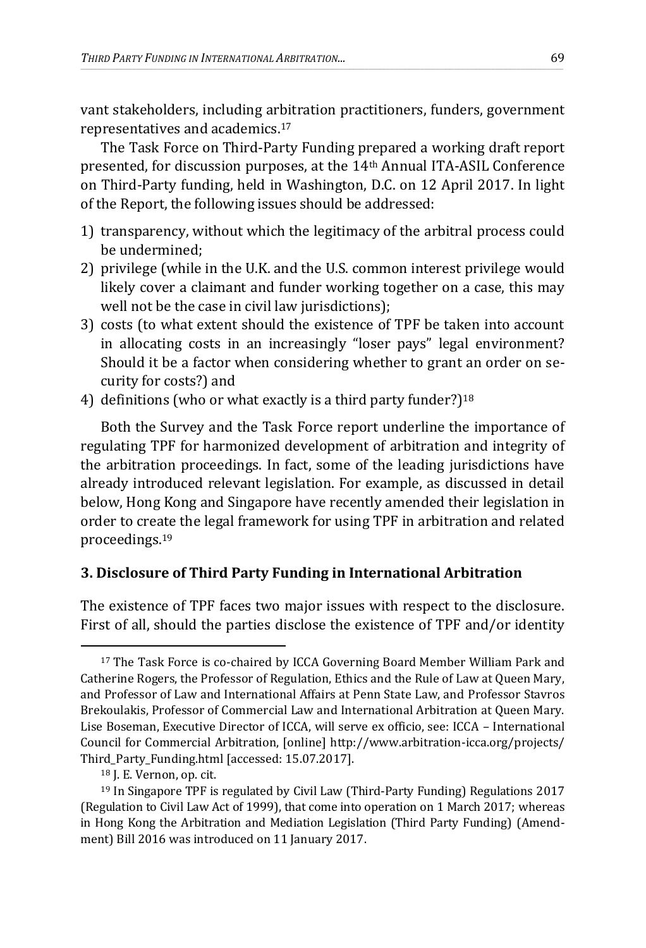vant stakeholders, including arbitration practitioners, funders, government representatives and academics.<sup>17</sup>

\_\_\_\_\_\_\_\_\_\_\_\_\_\_\_\_\_\_\_\_\_\_\_\_\_\_\_\_\_\_\_\_\_\_\_\_\_\_\_\_\_\_\_\_\_\_\_\_\_\_\_\_\_\_\_\_\_\_\_\_\_\_\_\_\_\_\_\_\_\_\_\_\_\_\_\_\_\_\_\_\_\_\_\_\_\_\_\_\_\_\_\_\_\_\_\_\_\_\_\_\_\_\_\_\_\_\_\_\_\_\_\_\_\_\_\_\_\_\_\_\_\_\_\_\_\_\_\_\_\_\_\_\_\_\_\_\_\_\_\_\_\_\_\_\_\_\_\_\_\_\_\_\_\_\_\_\_\_\_\_\_\_\_\_\_\_\_\_\_\_\_\_\_\_\_\_\_\_\_\_\_\_\_\_\_\_\_\_\_\_\_\_\_\_\_\_\_\_\_\_\_\_\_\_\_\_\_\_\_\_\_\_\_\_\_\_\_\_\_\_\_\_\_\_\_\_

The Task Force on Third-Party Funding prepared a working draft report presented, for discussion purposes, at the 14th Annual ITA-ASIL Conference on Third-Party funding, held in Washington, D.C. on 12 April 2017. In light of the Report, the following issues should be addressed:

- 1) transparency, without which the legitimacy of the arbitral process could be undermined;
- 2) privilege (while in the U.K. and the U.S. common interest privilege would likely cover a claimant and funder working together on a case, this may well not be the case in civil law jurisdictions);
- 3) costs (to what extent should the existence of TPF be taken into account in allocating costs in an increasingly "loser pays" legal environment? Should it be a factor when considering whether to grant an order on security for costs?) and
- 4) definitions (who or what exactly is a third party funder?)<sup>18</sup>

Both the Survey and the Task Force report underline the importance of regulating TPF for harmonized development of arbitration and integrity of the arbitration proceedings. In fact, some of the leading jurisdictions have already introduced relevant legislation. For example, as discussed in detail below, Hong Kong and Singapore have recently amended their legislation in order to create the legal framework for using TPF in arbitration and related proceedings.<sup>19</sup>

# **3. Disclosure of Third Party Funding in International Arbitration**

The existence of TPF faces two major issues with respect to the disclosure. First of all, should the parties disclose the existence of TPF and/or identity

<sup>17</sup> The Task Force is co-chaired by ICCA Governing Board Member William Park and Catherine Rogers, the Professor of Regulation, Ethics and the Rule of Law at Queen Mary, and Professor of Law and International Affairs at Penn State Law, and Professor Stavros Brekoulakis, Professor of Commercial Law and International Arbitration at Queen Mary. Lise Boseman, Executive Director of ICCA, will serve ex officio, see: ICCA – International Council for Commercial Arbitration, [online] http://www.arbitration-icca.org/projects/ Third\_Party\_Funding.html [accessed: 15.07.2017].

<sup>18</sup> J. E. Vernon, op. cit.

<sup>19</sup> In Singapore TPF is regulated by Civil Law (Third-Party Funding) Regulations 2017 (Regulation to Civil Law Act of 1999), that come into operation on 1 March 2017; whereas in Hong Kong the Arbitration and Mediation Legislation (Third Party Funding) (Amendment) Bill 2016 was introduced on 11 January 2017.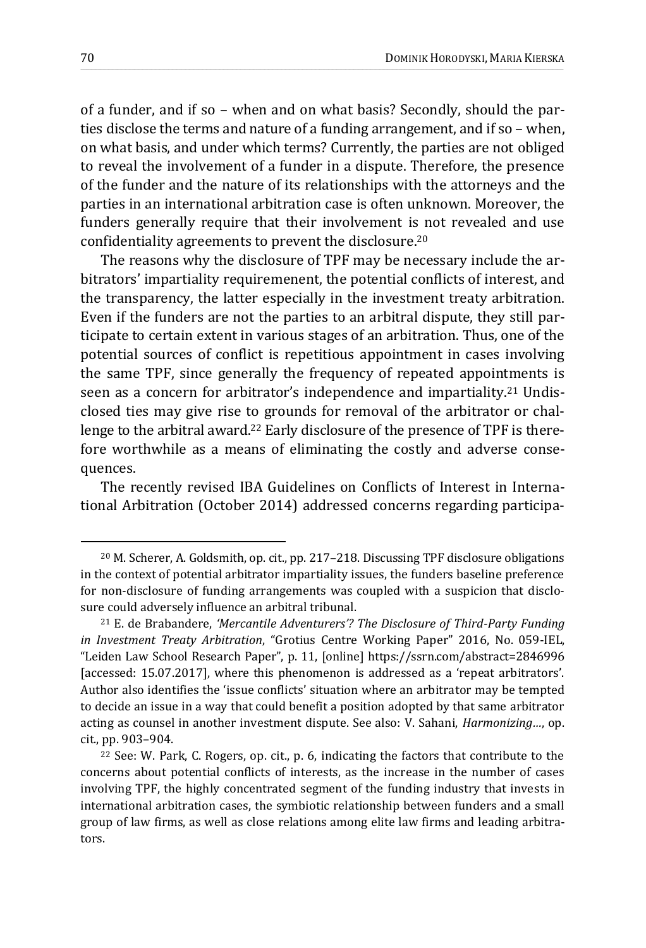of a funder, and if so – when and on what basis? Secondly, should the parties disclose the terms and nature of a funding arrangement, and if so – when, on what basis, and under which terms? Currently, the parties are not obliged to reveal the involvement of a funder in a dispute. Therefore, the presence of the funder and the nature of its relationships with the attorneys and the parties in an international arbitration case is often unknown. Moreover, the funders generally require that their involvement is not revealed and use confidentiality agreements to prevent the disclosure.<sup>20</sup>

\_\_\_\_\_\_\_\_\_\_\_\_\_\_\_\_\_\_\_\_\_\_\_\_\_\_\_\_\_\_\_\_\_\_\_\_\_\_\_\_\_\_\_\_\_\_\_\_\_\_\_\_\_\_\_\_\_\_\_\_\_\_\_\_\_\_\_\_\_\_\_\_\_\_\_\_\_\_\_\_\_\_\_\_\_\_\_\_\_\_\_\_\_\_\_\_\_\_\_\_\_\_\_\_\_\_\_\_\_\_\_\_\_\_\_\_\_\_\_\_\_\_\_\_\_\_\_\_\_\_\_\_\_\_\_\_\_\_\_\_\_\_\_\_\_\_\_\_\_\_\_\_\_\_\_\_\_\_\_\_\_\_\_\_\_\_\_\_\_\_\_\_\_\_\_\_\_\_\_\_\_\_\_\_\_\_\_\_\_\_\_\_\_\_\_\_\_\_\_\_\_\_\_\_\_\_\_\_\_\_\_\_\_\_\_\_\_\_\_\_\_\_\_\_\_\_

The reasons why the disclosure of TPF may be necessary include the arbitrators' impartiality requiremenent, the potential conflicts of interest, and the transparency, the latter especially in the investment treaty arbitration. Even if the funders are not the parties to an arbitral dispute, they still participate to certain extent in various stages of an arbitration. Thus, one of the potential sources of conflict is repetitious appointment in cases involving the same TPF, since generally the frequency of repeated appointments is seen as a concern for arbitrator's independence and impartiality.<sup>21</sup> Undisclosed ties may give rise to grounds for removal of the arbitrator or challenge to the arbitral award.<sup>22</sup> Early disclosure of the presence of TPF is therefore worthwhile as a means of eliminating the costly and adverse consequences.

The recently revised IBA Guidelines on Conflicts of Interest in International Arbitration (October 2014) addressed concerns regarding participa-

<sup>20</sup> M. Scherer, A. Goldsmith, op. cit., pp. 217–218. Discussing TPF disclosure obligations in the context of potential arbitrator impartiality issues, the funders baseline preference for non-disclosure of funding arrangements was coupled with a suspicion that disclosure could adversely influence an arbitral tribunal.

<sup>21</sup> E. de Brabandere, *'Mercantile Adventurers'? The Disclosure of Third-Party Funding in Investment Treaty Arbitration*, "Grotius Centre Working Paper" 2016, No. 059-IEL, "Leiden Law School Research Paper", p. 11, [online] https://ssrn.com/abstract=2846996 [accessed: 15.07.2017], where this phenomenon is addressed as a 'repeat arbitrators'. Author also identifies the 'issue conflicts' situation where an arbitrator may be tempted to decide an issue in a way that could benefit a position adopted by that same arbitrator acting as counsel in another investment dispute. See also: V. Sahani, *Harmonizing…*, op. cit., pp. 903–904.

<sup>22</sup> See: W. Park, C. Rogers, op. cit., p. 6, indicating the factors that contribute to the concerns about potential conflicts of interests, as the increase in the number of cases involving TPF, the highly concentrated segment of the funding industry that invests in international arbitration cases, the symbiotic relationship between funders and a small group of law firms, as well as close relations among elite law firms and leading arbitrators.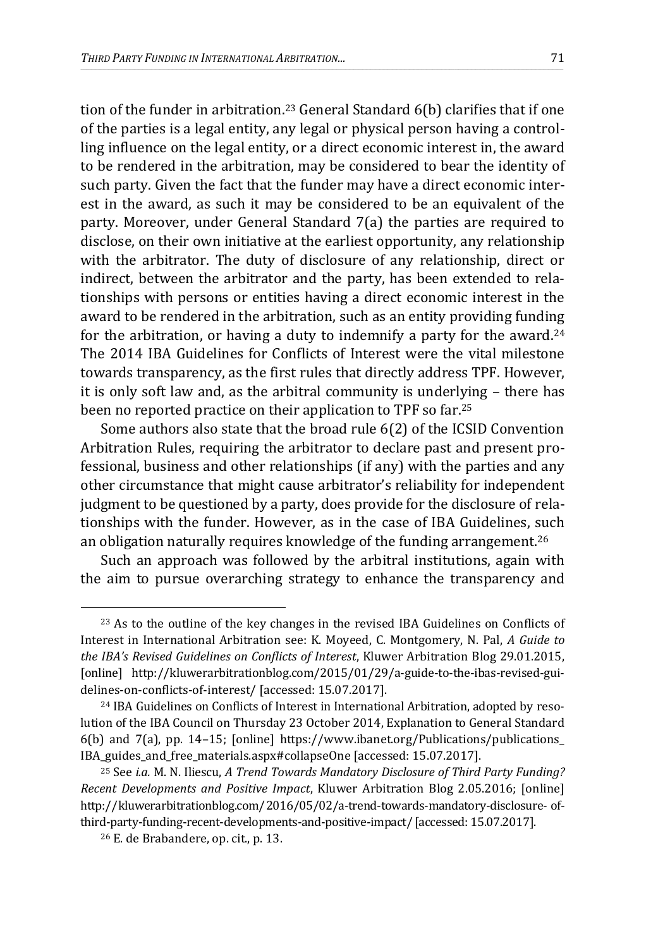tion of the funder in arbitration.<sup>23</sup> General Standard 6(b) clarifies that if one of the parties is a legal entity, any legal or physical person having a controlling influence on the legal entity, or a direct economic interest in, the award to be rendered in the arbitration, may be considered to bear the identity of such party. Given the fact that the funder may have a direct economic interest in the award, as such it may be considered to be an equivalent of the party. Moreover, under General Standard 7(a) the parties are required to disclose, on their own initiative at the earliest opportunity, any relationship with the arbitrator. The duty of disclosure of any relationship, direct or indirect, between the arbitrator and the party, has been extended to relationships with persons or entities having a direct economic interest in the award to be rendered in the arbitration, such as an entity providing funding for the arbitration, or having a duty to indemnify a party for the award.<sup>24</sup> The 2014 IBA Guidelines for Conflicts of Interest were the vital milestone towards transparency, as the first rules that directly address TPF. However, it is only soft law and, as the arbitral community is underlying – there has been no reported practice on their application to TPF so far.<sup>25</sup>

\_\_\_\_\_\_\_\_\_\_\_\_\_\_\_\_\_\_\_\_\_\_\_\_\_\_\_\_\_\_\_\_\_\_\_\_\_\_\_\_\_\_\_\_\_\_\_\_\_\_\_\_\_\_\_\_\_\_\_\_\_\_\_\_\_\_\_\_\_\_\_\_\_\_\_\_\_\_\_\_\_\_\_\_\_\_\_\_\_\_\_\_\_\_\_\_\_\_\_\_\_\_\_\_\_\_\_\_\_\_\_\_\_\_\_\_\_\_\_\_\_\_\_\_\_\_\_\_\_\_\_\_\_\_\_\_\_\_\_\_\_\_\_\_\_\_\_\_\_\_\_\_\_\_\_\_\_\_\_\_\_\_\_\_\_\_\_\_\_\_\_\_\_\_\_\_\_\_\_\_\_\_\_\_\_\_\_\_\_\_\_\_\_\_\_\_\_\_\_\_\_\_\_\_\_\_\_\_\_\_\_\_\_\_\_\_\_\_\_\_\_\_\_\_\_\_

Some authors also state that the broad rule 6(2) of the ICSID Convention Arbitration Rules, requiring the arbitrator to declare past and present professional, business and other relationships (if any) with the parties and any other circumstance that might cause arbitrator's reliability for independent judgment to be questioned by a party, does provide for the disclosure of relationships with the funder. However, as in the case of IBA Guidelines, such an obligation naturally requires knowledge of the funding arrangement.<sup>26</sup>

Such an approach was followed by the arbitral institutions, again with the aim to pursue overarching strategy to enhance the transparency and

<sup>&</sup>lt;sup>23</sup> As to the outline of the key changes in the revised IBA Guidelines on Conflicts of Interest in International Arbitration see: K. Moyeed, C. Montgomery, N. Pal, *A Guide to the IBA's Revised Guidelines on Conflicts of Interest*, Kluwer Arbitration Blog 29.01.2015, [online] http://kluwerarbitrationblog.com/2015/01/29/a-guide-to-the-ibas-revised-guidelines-on-conflicts-of-interest/ [accessed: 15.07.2017].

<sup>24</sup> IBA Guidelines on Conflicts of Interest in International Arbitration, adopted by resolution of the IBA Council on Thursday 23 October 2014, Explanation to General Standard 6(b) and 7(a), pp. 14–15; [online] https://www.ibanet.org/Publications/publications\_ IBA\_guides\_and\_free\_materials.aspx#collapseOne [accessed: 15.07.2017].

<sup>25</sup> See *i.a.* M. N. Iliescu, *A Trend Towards Mandatory Disclosure of Third Party Funding? Recent Developments and Positive Impact*, Kluwer Arbitration Blog 2.05.2016; [online] http://kluwerarbitrationblog.com/2016/05/02/a-trend-towards-mandatory-disclosure- ofthird-party-funding-recent-developments-and-positive-impact/ [accessed: 15.07.2017].

<sup>26</sup> E. de Brabandere, op. cit., p. 13.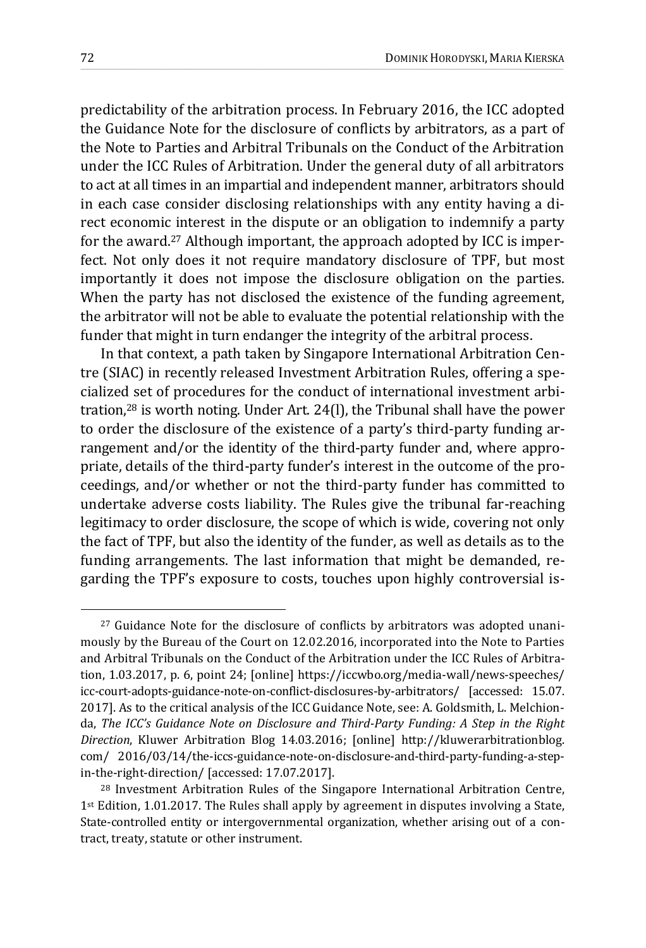predictability of the arbitration process. In February 2016, the ICC adopted the Guidance Note for the disclosure of conflicts by arbitrators, as a part of the Note to Parties and Arbitral Tribunals on the Conduct of the Arbitration under the ICC Rules of Arbitration. Under the general duty of all arbitrators to act at all times in an impartial and independent manner, arbitrators should in each case consider disclosing relationships with any entity having a direct economic interest in the dispute or an obligation to indemnify a party for the award.<sup>27</sup> Although important, the approach adopted by ICC is imperfect. Not only does it not require mandatory disclosure of TPF, but most importantly it does not impose the disclosure obligation on the parties. When the party has not disclosed the existence of the funding agreement, the arbitrator will not be able to evaluate the potential relationship with the funder that might in turn endanger the integrity of the arbitral process.

\_\_\_\_\_\_\_\_\_\_\_\_\_\_\_\_\_\_\_\_\_\_\_\_\_\_\_\_\_\_\_\_\_\_\_\_\_\_\_\_\_\_\_\_\_\_\_\_\_\_\_\_\_\_\_\_\_\_\_\_\_\_\_\_\_\_\_\_\_\_\_\_\_\_\_\_\_\_\_\_\_\_\_\_\_\_\_\_\_\_\_\_\_\_\_\_\_\_\_\_\_\_\_\_\_\_\_\_\_\_\_\_\_\_\_\_\_\_\_\_\_\_\_\_\_\_\_\_\_\_\_\_\_\_\_\_\_\_\_\_\_\_\_\_\_\_\_\_\_\_\_\_\_\_\_\_\_\_\_\_\_\_\_\_\_\_\_\_\_\_\_\_\_\_\_\_\_\_\_\_\_\_\_\_\_\_\_\_\_\_\_\_\_\_\_\_\_\_\_\_\_\_\_\_\_\_\_\_\_\_\_\_\_\_\_\_\_\_\_\_\_\_\_\_\_\_

In that context, a path taken by Singapore International Arbitration Centre (SIAC) in recently released Investment Arbitration Rules, offering a specialized set of procedures for the conduct of international investment arbitration,<sup>28</sup> is worth noting. Under Art. 24(l), the Tribunal shall have the power to order the disclosure of the existence of a party's third‐party funding arrangement and/or the identity of the third-party funder and, where appropriate, details of the third‐party funder's interest in the outcome of the proceedings, and/or whether or not the third‐party funder has committed to undertake adverse costs liability. The Rules give the tribunal far-reaching legitimacy to order disclosure, the scope of which is wide, covering not only the fact of TPF, but also the identity of the funder, as well as details as to the funding arrangements. The last information that might be demanded, regarding the TPF's exposure to costs, touches upon highly controversial is-

<sup>27</sup> Guidance Note for the disclosure of conflicts by arbitrators was adopted unanimously by the Bureau of the Court on 12.02.2016, incorporated into the Note to Parties and Arbitral Tribunals on the Conduct of the Arbitration under the ICC Rules of Arbitration, 1.03.2017, p. 6, point 24; [online] https://iccwbo.org/media-wall/news-speeches/ icc-court-adopts-guidance-note-on-conflict-disclosures-by-arbitrators/ [accessed: 15.07. 2017]. As to the critical analysis of the ICC Guidance Note, see: A. Goldsmith, L. Melchionda, *The ICC's Guidance Note on Disclosure and Third-Party Funding: A Step in the Right Direction*, Kluwer Arbitration Blog 14.03.2016; [online] http://kluwerarbitrationblog. com/ 2016/03/14/the-iccs-guidance-note-on-disclosure-and-third-party-funding-a-stepin-the-right-direction/ [accessed: 17.07.2017].

<sup>28</sup> Investment Arbitration Rules of the Singapore International Arbitration Centre, 1st Edition, 1.01.2017. The Rules shall apply by agreement in disputes involving a State, State-controlled entity or intergovernmental organization, whether arising out of a contract, treaty, statute or other instrument.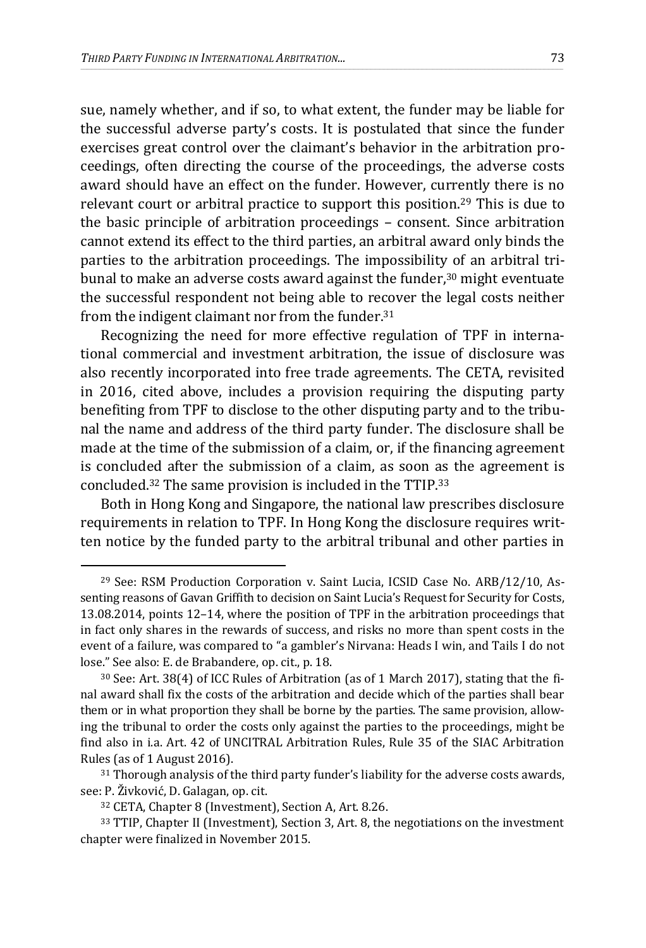sue, namely whether, and if so, to what extent, the funder may be liable for the successful adverse party's costs. It is postulated that since the funder exercises great control over the claimant's behavior in the arbitration proceedings, often directing the course of the proceedings, the adverse costs award should have an effect on the funder. However, currently there is no relevant court or arbitral practice to support this position.<sup>29</sup> This is due to the basic principle of arbitration proceedings – consent. Since arbitration cannot extend its effect to the third parties, an arbitral award only binds the parties to the arbitration proceedings. The impossibility of an arbitral tribunal to make an adverse costs award against the funder, $30$  might eventuate the successful respondent not being able to recover the legal costs neither from the indigent claimant nor from the funder.<sup>31</sup>

\_\_\_\_\_\_\_\_\_\_\_\_\_\_\_\_\_\_\_\_\_\_\_\_\_\_\_\_\_\_\_\_\_\_\_\_\_\_\_\_\_\_\_\_\_\_\_\_\_\_\_\_\_\_\_\_\_\_\_\_\_\_\_\_\_\_\_\_\_\_\_\_\_\_\_\_\_\_\_\_\_\_\_\_\_\_\_\_\_\_\_\_\_\_\_\_\_\_\_\_\_\_\_\_\_\_\_\_\_\_\_\_\_\_\_\_\_\_\_\_\_\_\_\_\_\_\_\_\_\_\_\_\_\_\_\_\_\_\_\_\_\_\_\_\_\_\_\_\_\_\_\_\_\_\_\_\_\_\_\_\_\_\_\_\_\_\_\_\_\_\_\_\_\_\_\_\_\_\_\_\_\_\_\_\_\_\_\_\_\_\_\_\_\_\_\_\_\_\_\_\_\_\_\_\_\_\_\_\_\_\_\_\_\_\_\_\_\_\_\_\_\_\_\_\_\_

Recognizing the need for more effective regulation of TPF in international commercial and investment arbitration, the issue of disclosure was also recently incorporated into free trade agreements. The CETA, revisited in 2016, cited above, includes a provision requiring the disputing party benefiting from TPF to disclose to the other disputing party and to the tribunal the name and address of the third party funder. The disclosure shall be made at the time of the submission of a claim, or, if the financing agreement is concluded after the submission of a claim, as soon as the agreement is concluded.<sup>32</sup> The same provision is included in the TTIP.<sup>33</sup>

Both in Hong Kong and Singapore, the national law prescribes disclosure requirements in relation to TPF. In Hong Kong the disclosure requires written notice by the funded party to the arbitral tribunal and other parties in

<sup>29</sup> See: RSM Production Corporation v. Saint Lucia, ICSID Case No. ARB/12/10, Assenting reasons of Gavan Griffith to decision on Saint Lucia's Request for Security for Costs, 13.08.2014, points 12–14, where the position of TPF in the arbitration proceedings that in fact only shares in the rewards of success, and risks no more than spent costs in the event of a failure, was compared to "a gambler's Nirvana: Heads I win, and Tails I do not lose." See also: E. de Brabandere, op. cit., p. 18.

<sup>30</sup> See: Art. 38(4) of ICC Rules of Arbitration (as of 1 March 2017), stating that the final award shall fix the costs of the arbitration and decide which of the parties shall bear them or in what proportion they shall be borne by the parties. The same provision, allowing the tribunal to order the costs only against the parties to the proceedings, might be find also in i.a. Art. 42 of UNCITRAL Arbitration Rules, Rule 35 of the SIAC Arbitration Rules (as of 1 August 2016).

<sup>31</sup> Thorough analysis of the third party funder's liability for the adverse costs awards, see: P. Živković, D. Galagan, op. cit.

<sup>32</sup> CETA, Chapter 8 (Investment), Section A, Art. 8.26.

<sup>33</sup> TTIP, Chapter II (Investment), Section 3, Art. 8, the negotiations on the investment chapter were finalized in November 2015.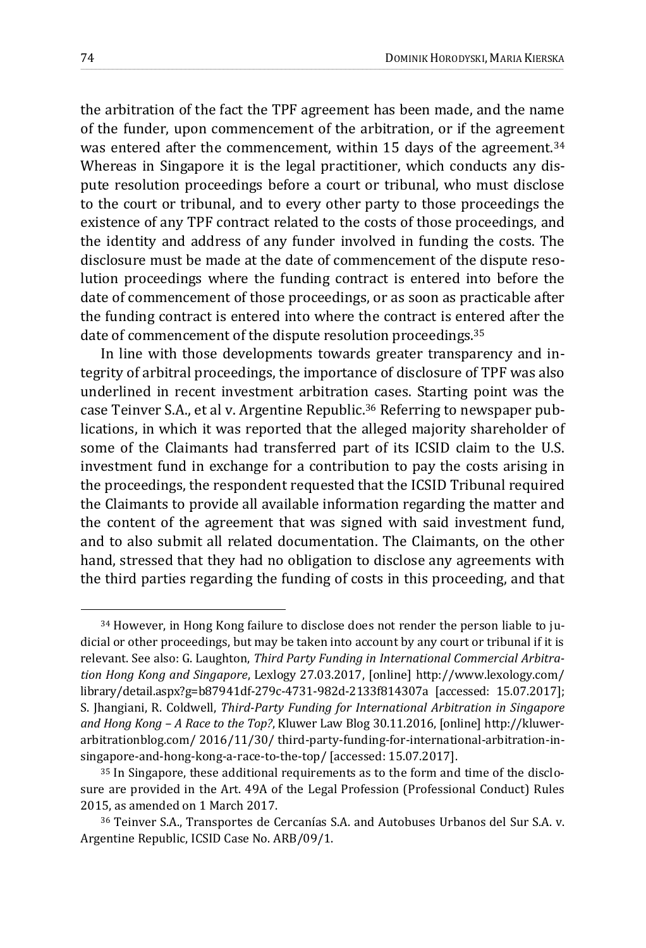the arbitration of the fact the TPF agreement has been made, and the name of the funder, upon commencement of the arbitration, or if the agreement was entered after the commencement, within 15 days of the agreement.<sup>34</sup> Whereas in Singapore it is the legal practitioner, which conducts any dispute resolution proceedings before a court or tribunal, who must disclose to the court or tribunal, and to every other party to those proceedings the existence of any TPF contract related to the costs of those proceedings, and the identity and address of any funder involved in funding the costs. The disclosure must be made at the date of commencement of the dispute resolution proceedings where the funding contract is entered into before the date of commencement of those proceedings, or as soon as practicable after the funding contract is entered into where the contract is entered after the date of commencement of the dispute resolution proceedings.<sup>35</sup>

\_\_\_\_\_\_\_\_\_\_\_\_\_\_\_\_\_\_\_\_\_\_\_\_\_\_\_\_\_\_\_\_\_\_\_\_\_\_\_\_\_\_\_\_\_\_\_\_\_\_\_\_\_\_\_\_\_\_\_\_\_\_\_\_\_\_\_\_\_\_\_\_\_\_\_\_\_\_\_\_\_\_\_\_\_\_\_\_\_\_\_\_\_\_\_\_\_\_\_\_\_\_\_\_\_\_\_\_\_\_\_\_\_\_\_\_\_\_\_\_\_\_\_\_\_\_\_\_\_\_\_\_\_\_\_\_\_\_\_\_\_\_\_\_\_\_\_\_\_\_\_\_\_\_\_\_\_\_\_\_\_\_\_\_\_\_\_\_\_\_\_\_\_\_\_\_\_\_\_\_\_\_\_\_\_\_\_\_\_\_\_\_\_\_\_\_\_\_\_\_\_\_\_\_\_\_\_\_\_\_\_\_\_\_\_\_\_\_\_\_\_\_\_\_\_\_

In line with those developments towards greater transparency and integrity of arbitral proceedings, the importance of disclosure of TPF was also underlined in recent investment arbitration cases. Starting point was the case Teinver S.A., et al v. Argentine Republic.<sup>36</sup> Referring to newspaper publications, in which it was reported that the alleged majority shareholder of some of the Claimants had transferred part of its ICSID claim to the U.S. investment fund in exchange for a contribution to pay the costs arising in the proceedings, the respondent requested that the ICSID Tribunal required the Claimants to provide all available information regarding the matter and the content of the agreement that was signed with said investment fund, and to also submit all related documentation. The Claimants, on the other hand, stressed that they had no obligation to disclose any agreements with the third parties regarding the funding of costs in this proceeding, and that

<sup>34</sup> However, in Hong Kong failure to disclose does not render the person liable to judicial or other proceedings, but may be taken into account by any court or tribunal if it is relevant. See also: G. Laughton, *Third Party Funding in International Commercial Arbitration Hong Kong and Singapore*, Lexlogy 27.03.2017, [online] http://www.lexology.com/ library/detail.aspx?g=b87941df-279c-4731-982d-2133f814307a [accessed: 15.07.2017]; S. Jhangiani, R. Coldwell, *Third-Party Funding for International Arbitration in Singapore and Hong Kong – A Race to the Top?*, Kluwer Law Blog 30.11.2016, [online] http://kluwerarbitrationblog.com/ 2016/11/30/ third-party-funding-for-international-arbitration-insingapore-and-hong-kong-a-race-to-the-top/ [accessed: 15.07.2017].

<sup>35</sup> In Singapore, these additional requirements as to the form and time of the disclosure are provided in the Art. 49A of the Legal Profession (Professional Conduct) Rules 2015, as amended on 1 March 2017.

<sup>36</sup> Teinver S.A., Transportes de Cercanías S.A. and Autobuses Urbanos del Sur S.A. v. Argentine Republic, ICSID Case No. ARB/09/1.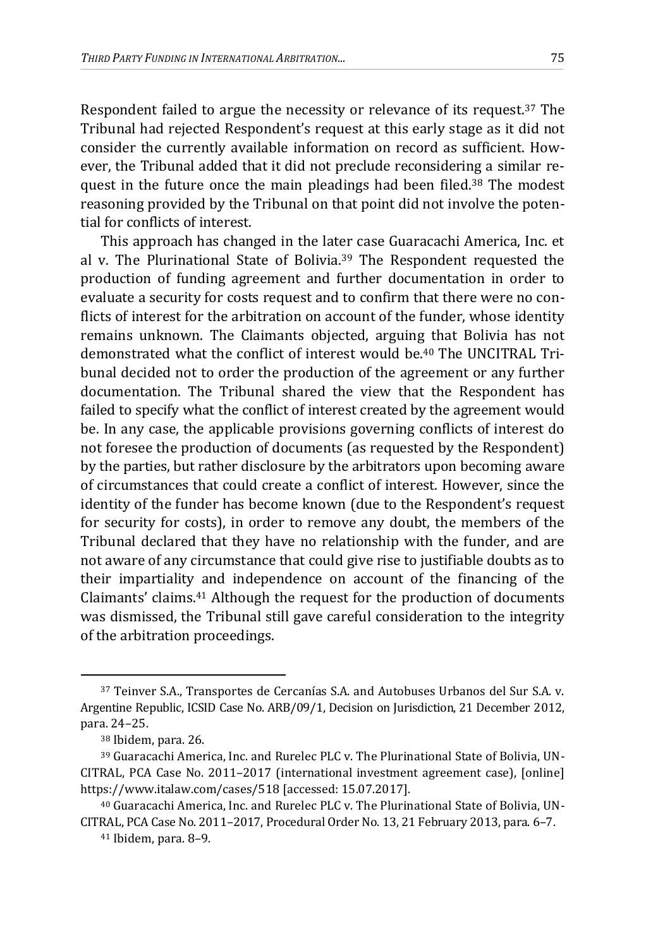Respondent failed to argue the necessity or relevance of its request.<sup>37</sup> The Tribunal had rejected Respondent's request at this early stage as it did not consider the currently available information on record as sufficient. However, the Tribunal added that it did not preclude reconsidering a similar request in the future once the main pleadings had been filed.<sup>38</sup> The modest reasoning provided by the Tribunal on that point did not involve the potential for conflicts of interest.

\_\_\_\_\_\_\_\_\_\_\_\_\_\_\_\_\_\_\_\_\_\_\_\_\_\_\_\_\_\_\_\_\_\_\_\_\_\_\_\_\_\_\_\_\_\_\_\_\_\_\_\_\_\_\_\_\_\_\_\_\_\_\_\_\_\_\_\_\_\_\_\_\_\_\_\_\_\_\_\_\_\_\_\_\_\_\_\_\_\_\_\_\_\_\_\_\_\_\_\_\_\_\_\_\_\_\_\_\_\_\_\_\_\_\_\_\_\_\_\_\_\_\_\_\_\_\_\_\_\_\_\_\_\_\_\_\_\_\_\_\_\_\_\_\_\_\_\_\_\_\_\_\_\_\_\_\_\_\_\_\_\_\_\_\_\_\_\_\_\_\_\_\_\_\_\_\_\_\_\_\_\_\_\_\_\_\_\_\_\_\_\_\_\_\_\_\_\_\_\_\_\_\_\_\_\_\_\_\_\_\_\_\_\_\_\_\_\_\_\_\_\_\_\_\_\_

This approach has changed in the later case Guaracachi America, Inc. et al v. The Plurinational State of Bolivia.<sup>39</sup> The Respondent requested the production of funding agreement and further documentation in order to evaluate a security for costs request and to confirm that there were no conflicts of interest for the arbitration on account of the funder, whose identity remains unknown. The Claimants objected, arguing that Bolivia has not demonstrated what the conflict of interest would be.<sup>40</sup> The UNCITRAL Tribunal decided not to order the production of the agreement or any further documentation. The Tribunal shared the view that the Respondent has failed to specify what the conflict of interest created by the agreement would be. In any case, the applicable provisions governing conflicts of interest do not foresee the production of documents (as requested by the Respondent) by the parties, but rather disclosure by the arbitrators upon becoming aware of circumstances that could create a conflict of interest. However, since the identity of the funder has become known (due to the Respondent's request for security for costs), in order to remove any doubt, the members of the Tribunal declared that they have no relationship with the funder, and are not aware of any circumstance that could give rise to justifiable doubts as to their impartiality and independence on account of the financing of the Claimants' claims.<sup>41</sup> Although the request for the production of documents was dismissed, the Tribunal still gave careful consideration to the integrity of the arbitration proceedings.

<sup>37</sup> Teinver S.A., Transportes de Cercanías S.A. and Autobuses Urbanos del Sur S.A. v. Argentine Republic, ICSID Case No. ARB/09/1, Decision on Jurisdiction, 21 December 2012, para. 24–25.

<sup>38</sup> Ibidem, para. 26.

<sup>39</sup> Guaracachi America, Inc. and Rurelec PLC v. The Plurinational State of Bolivia, UN-CITRAL, PCA Case No. 2011–2017 (international investment agreement case), [online] https://www.italaw.com/cases/518 [accessed: 15.07.2017].

<sup>40</sup> Guaracachi America, Inc. and Rurelec PLC v. The Plurinational State of Bolivia, UN-CITRAL, PCA Case No. 2011–2017, Procedural Order No. 13, 21 February 2013, para. 6–7.

<sup>41</sup> Ibidem, para. 8–9.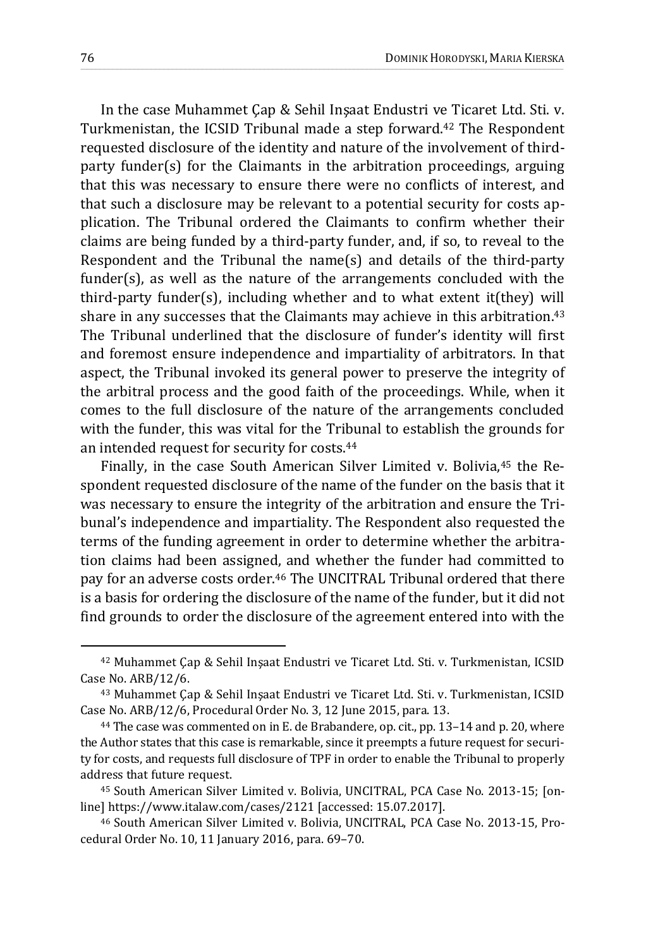In the case Muhammet Çap & Sehil Inşaat Endustri ve Ticaret Ltd. Sti. v. Turkmenistan, the ICSID Tribunal made a step forward.<sup>42</sup> The Respondent requested disclosure of the identity and nature of the involvement of thirdparty funder(s) for the Claimants in the arbitration proceedings, arguing that this was necessary to ensure there were no conflicts of interest, and that such a disclosure may be relevant to a potential security for costs application. The Tribunal ordered the Claimants to confirm whether their claims are being funded by a third-party funder, and, if so, to reveal to the Respondent and the Tribunal the name(s) and details of the third-party funder(s), as well as the nature of the arrangements concluded with the third-party funder(s), including whether and to what extent it(they) will share in any successes that the Claimants may achieve in this arbitration.<sup>43</sup> The Tribunal underlined that the disclosure of funder's identity will first and foremost ensure independence and impartiality of arbitrators. In that aspect, the Tribunal invoked its general power to preserve the integrity of the arbitral process and the good faith of the proceedings. While, when it comes to the full disclosure of the nature of the arrangements concluded with the funder, this was vital for the Tribunal to establish the grounds for an intended request for security for costs.<sup>44</sup>

\_\_\_\_\_\_\_\_\_\_\_\_\_\_\_\_\_\_\_\_\_\_\_\_\_\_\_\_\_\_\_\_\_\_\_\_\_\_\_\_\_\_\_\_\_\_\_\_\_\_\_\_\_\_\_\_\_\_\_\_\_\_\_\_\_\_\_\_\_\_\_\_\_\_\_\_\_\_\_\_\_\_\_\_\_\_\_\_\_\_\_\_\_\_\_\_\_\_\_\_\_\_\_\_\_\_\_\_\_\_\_\_\_\_\_\_\_\_\_\_\_\_\_\_\_\_\_\_\_\_\_\_\_\_\_\_\_\_\_\_\_\_\_\_\_\_\_\_\_\_\_\_\_\_\_\_\_\_\_\_\_\_\_\_\_\_\_\_\_\_\_\_\_\_\_\_\_\_\_\_\_\_\_\_\_\_\_\_\_\_\_\_\_\_\_\_\_\_\_\_\_\_\_\_\_\_\_\_\_\_\_\_\_\_\_\_\_\_\_\_\_\_\_\_\_\_

Finally, in the case South American Silver Limited v. Bolivia, <sup>45</sup> the Respondent requested disclosure of the name of the funder on the basis that it was necessary to ensure the integrity of the arbitration and ensure the Tribunal's independence and impartiality. The Respondent also requested the terms of the funding agreement in order to determine whether the arbitration claims had been assigned, and whether the funder had committed to pay for an adverse costs order.<sup>46</sup> The UNCITRAL Tribunal ordered that there is a basis for ordering the disclosure of the name of the funder, but it did not find grounds to order the disclosure of the agreement entered into with the

<sup>42</sup> Muhammet Çap & Sehil Inşaat Endustri ve Ticaret Ltd. Sti. v. Turkmenistan, ICSID Case No. ARB/12/6.

<sup>43</sup> Muhammet Çap & Sehil Inşaat Endustri ve Ticaret Ltd. Sti. v. Turkmenistan, ICSID Case No. ARB/12/6, Procedural Order No. 3, 12 June 2015, para. 13.

<sup>44</sup> The case was commented on in E. de Brabandere, op. cit., pp. 13–14 and p. 20, where the Author states that this case is remarkable, since it preempts a future request for security for costs, and requests full disclosure of TPF in order to enable the Tribunal to properly address that future request.

<sup>45</sup> South American Silver Limited v. Bolivia, UNCITRAL, PCA Case No. 2013-15; [online] https://www.italaw.com/cases/2121 [accessed: 15.07.2017].

<sup>46</sup> South American Silver Limited v. Bolivia, UNCITRAL, PCA Case No. 2013-15, Procedural Order No. 10, 11 January 2016, para. 69–70.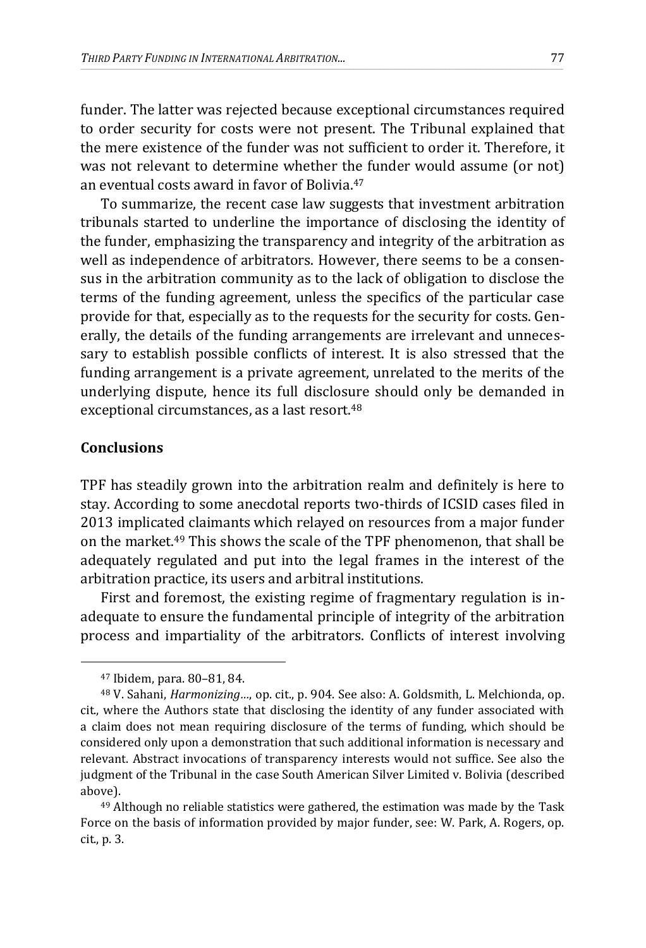funder. The latter was rejected because exceptional circumstances required to order security for costs were not present. The Tribunal explained that the mere existence of the funder was not sufficient to order it. Therefore, it was not relevant to determine whether the funder would assume (or not) an eventual costs award in favor of Bolivia.<sup>47</sup>

\_\_\_\_\_\_\_\_\_\_\_\_\_\_\_\_\_\_\_\_\_\_\_\_\_\_\_\_\_\_\_\_\_\_\_\_\_\_\_\_\_\_\_\_\_\_\_\_\_\_\_\_\_\_\_\_\_\_\_\_\_\_\_\_\_\_\_\_\_\_\_\_\_\_\_\_\_\_\_\_\_\_\_\_\_\_\_\_\_\_\_\_\_\_\_\_\_\_\_\_\_\_\_\_\_\_\_\_\_\_\_\_\_\_\_\_\_\_\_\_\_\_\_\_\_\_\_\_\_\_\_\_\_\_\_\_\_\_\_\_\_\_\_\_\_\_\_\_\_\_\_\_\_\_\_\_\_\_\_\_\_\_\_\_\_\_\_\_\_\_\_\_\_\_\_\_\_\_\_\_\_\_\_\_\_\_\_\_\_\_\_\_\_\_\_\_\_\_\_\_\_\_\_\_\_\_\_\_\_\_\_\_\_\_\_\_\_\_\_\_\_\_\_\_\_\_

To summarize, the recent case law suggests that investment arbitration tribunals started to underline the importance of disclosing the identity of the funder, emphasizing the transparency and integrity of the arbitration as well as independence of arbitrators. However, there seems to be a consensus in the arbitration community as to the lack of obligation to disclose the terms of the funding agreement, unless the specifics of the particular case provide for that, especially as to the requests for the security for costs. Generally, the details of the funding arrangements are irrelevant and unnecessary to establish possible conflicts of interest. It is also stressed that the funding arrangement is a private agreement, unrelated to the merits of the underlying dispute, hence its full disclosure should only be demanded in exceptional circumstances, as a last resort.<sup>48</sup>

## **Conclusions**

 $\overline{a}$ 

TPF has steadily grown into the arbitration realm and definitely is here to stay. According to some anecdotal reports two-thirds of ICSID cases filed in 2013 implicated claimants which relayed on resources from a major funder on the market.<sup>49</sup> This shows the scale of the TPF phenomenon, that shall be adequately regulated and put into the legal frames in the interest of the arbitration practice, its users and arbitral institutions.

First and foremost, the existing regime of fragmentary regulation is inadequate to ensure the fundamental principle of integrity of the arbitration process and impartiality of the arbitrators. Conflicts of interest involving

<sup>47</sup> Ibidem, para. 80–81, 84.

<sup>48</sup> V. Sahani, *Harmonizing…*, op. cit., p. 904. See also: A. Goldsmith, L. Melchionda, op. cit., where the Authors state that disclosing the identity of any funder associated with a claim does not mean requiring disclosure of the terms of funding, which should be considered only upon a demonstration that such additional information is necessary and relevant. Abstract invocations of transparency interests would not suffice. See also the judgment of the Tribunal in the case South American Silver Limited v. Bolivia (described above).

<sup>&</sup>lt;sup>49</sup> Although no reliable statistics were gathered, the estimation was made by the Task Force on the basis of information provided by major funder, see: W. Park, A. Rogers, op. cit., p. 3.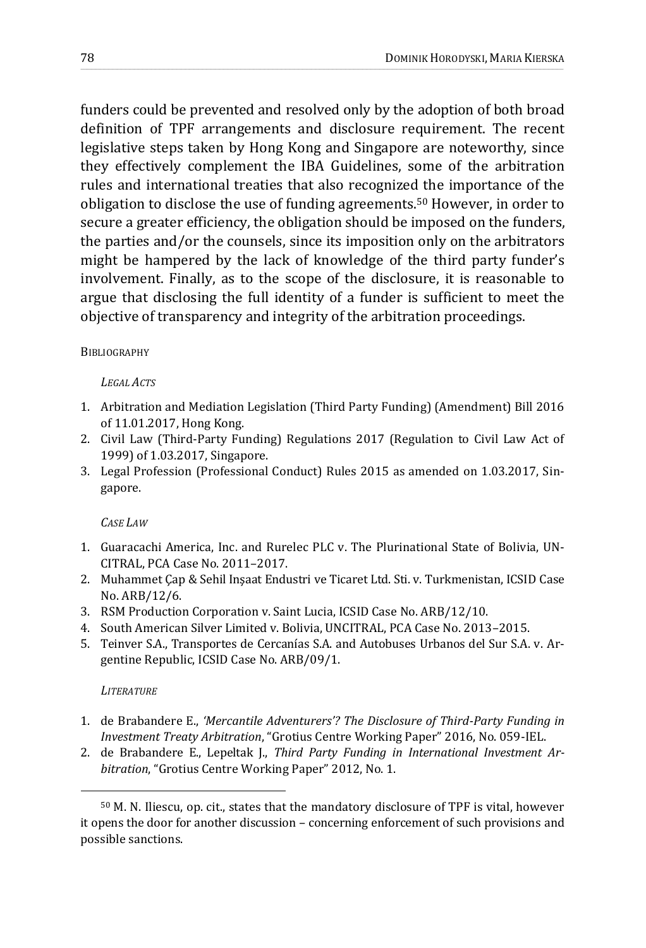funders could be prevented and resolved only by the adoption of both broad definition of TPF arrangements and disclosure requirement. The recent legislative steps taken by Hong Kong and Singapore are noteworthy, since they effectively complement the IBA Guidelines, some of the arbitration rules and international treaties that also recognized the importance of the obligation to disclose the use of funding agreements.<sup>50</sup> However, in order to secure a greater efficiency, the obligation should be imposed on the funders, the parties and/or the counsels, since its imposition only on the arbitrators might be hampered by the lack of knowledge of the third party funder's involvement. Finally, as to the scope of the disclosure, it is reasonable to argue that disclosing the full identity of a funder is sufficient to meet the objective of transparency and integrity of the arbitration proceedings.

\_\_\_\_\_\_\_\_\_\_\_\_\_\_\_\_\_\_\_\_\_\_\_\_\_\_\_\_\_\_\_\_\_\_\_\_\_\_\_\_\_\_\_\_\_\_\_\_\_\_\_\_\_\_\_\_\_\_\_\_\_\_\_\_\_\_\_\_\_\_\_\_\_\_\_\_\_\_\_\_\_\_\_\_\_\_\_\_\_\_\_\_\_\_\_\_\_\_\_\_\_\_\_\_\_\_\_\_\_\_\_\_\_\_\_\_\_\_\_\_\_\_\_\_\_\_\_\_\_\_\_\_\_\_\_\_\_\_\_\_\_\_\_\_\_\_\_\_\_\_\_\_\_\_\_\_\_\_\_\_\_\_\_\_\_\_\_\_\_\_\_\_\_\_\_\_\_\_\_\_\_\_\_\_\_\_\_\_\_\_\_\_\_\_\_\_\_\_\_\_\_\_\_\_\_\_\_\_\_\_\_\_\_\_\_\_\_\_\_\_\_\_\_\_\_\_

## **BIBLIOGRAPHY**

### *LEGAL ACTS*

- 1. Arbitration and Mediation Legislation (Third Party Funding) (Amendment) Bill 2016 of 11.01.2017, Hong Kong.
- 2. Civil Law (Third-Party Funding) Regulations 2017 (Regulation to Civil Law Act of 1999) of 1.03.2017, Singapore.
- 3. Legal Profession (Professional Conduct) Rules 2015 as amended on 1.03.2017, Singapore.

## *CASE LAW*

- 1. Guaracachi America, Inc. and Rurelec PLC v. The Plurinational State of Bolivia, UN-CITRAL, PCA Case No. 2011–2017.
- 2. Muhammet Çap & Sehil Inşaat Endustri ve Ticaret Ltd. Sti. v. Turkmenistan, ICSID Case No. ARB/12/6.
- 3. RSM Production Corporation v. Saint Lucia, ICSID Case No. ARB/12/10.
- 4. South American Silver Limited v. Bolivia, UNCITRAL, PCA Case No. 2013–2015.
- 5. Teinver S.A., Transportes de Cercanías S.A. and Autobuses Urbanos del Sur S.A. v. Argentine Republic, ICSID Case No. ARB/09/1.

## *LITERATURE*

- 1. de Brabandere E., *'Mercantile Adventurers'? The Disclosure of Third-Party Funding in Investment Treaty Arbitration*, "Grotius Centre Working Paper" 2016, No. 059-IEL.
- 2. de Brabandere E., Lepeltak J., *Third Party Funding in International Investment Arbitration*, "Grotius Centre Working Paper" 2012, No. 1.

<sup>50</sup> M. N. Iliescu, op. cit., states that the mandatory disclosure of TPF is vital, however it opens the door for another discussion – concerning enforcement of such provisions and possible sanctions.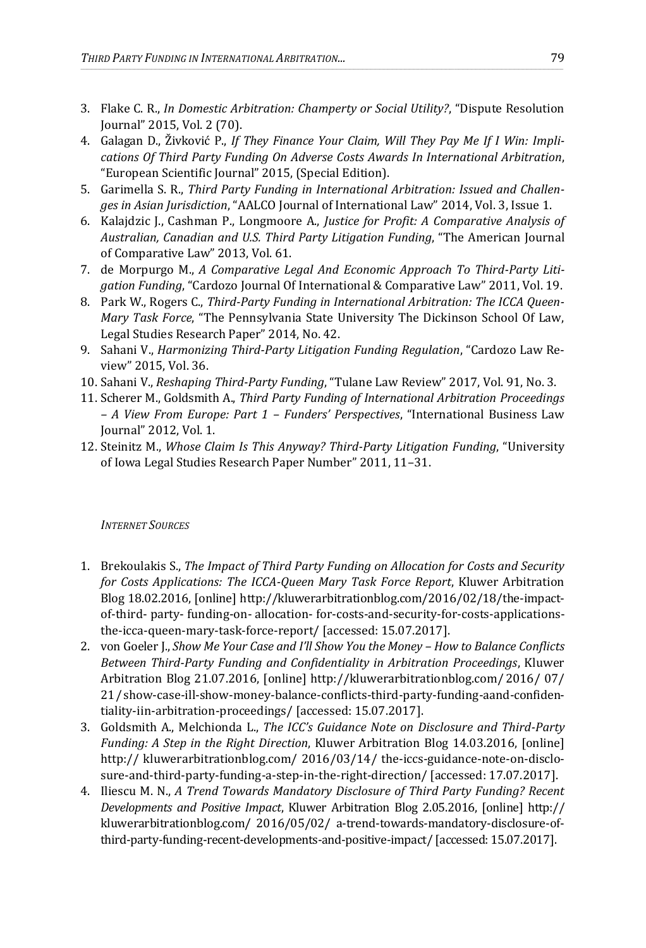3. Flake C. R., *In Domestic Arbitration: Champerty or Social Utility?*, "Dispute Resolution Journal" 2015, Vol. 2 (70).

\_\_\_\_\_\_\_\_\_\_\_\_\_\_\_\_\_\_\_\_\_\_\_\_\_\_\_\_\_\_\_\_\_\_\_\_\_\_\_\_\_\_\_\_\_\_\_\_\_\_\_\_\_\_\_\_\_\_\_\_\_\_\_\_\_\_\_\_\_\_\_\_\_\_\_\_\_\_\_\_\_\_\_\_\_\_\_\_\_\_\_\_\_\_\_\_\_\_\_\_\_\_\_\_\_\_\_\_\_\_\_\_\_\_\_\_\_\_\_\_\_\_\_\_\_\_\_\_\_\_\_\_\_\_\_\_\_\_\_\_\_\_\_\_\_\_\_\_\_\_\_\_\_\_\_\_\_\_\_\_\_\_\_\_\_\_\_\_\_\_\_\_\_\_\_\_\_\_\_\_\_\_\_\_\_\_\_\_\_\_\_\_\_\_\_\_\_\_\_\_\_\_\_\_\_\_\_\_\_\_\_\_\_\_\_\_\_\_\_\_\_\_\_\_\_\_

- 4. Galagan D., Živković P., *If They Finance Your Claim, Will They Pay Me If I Win: Implications Of Third Party Funding On Adverse Costs Awards In International Arbitration*, "European Scientific Journal" 2015, (Special Edition).
- 5. Garimella S. R., *Third Party Funding in International Arbitration: Issued and Challenges in Asian Jurisdiction*, "AALCO Journal of International Law" 2014, Vol. 3, Issue 1.
- 6. Kalajdzic J., Cashman P., Longmoore A., *Justice for Profit: A Comparative Analysis of Australian, Canadian and U.S. Third Party Litigation Funding*, "The American Journal of Comparative Law" 2013, Vol. 61.
- 7. de Morpurgo M., *A Comparative Legal And Economic Approach To Third-Party Litigation Funding*, "Cardozo Journal Of International & Comparative Law" 2011, Vol. 19.
- 8. Park W., Rogers C., *Third-Party Funding in International Arbitration: The ICCA Queen-Mary Task Force*, "The Pennsylvania State University The Dickinson School Of Law, Legal Studies Research Paper" 2014, No. 42.
- 9. Sahani V., *Harmonizing Third-Party Litigation Funding Regulation*, "Cardozo Law Review" 2015, Vol. 36.
- 10. Sahani V., *Reshaping Third-Party Funding*, "Tulane Law Review" 2017, Vol. 91, No. 3.
- 11. Scherer M., Goldsmith A., *Third Party Funding of International Arbitration Proceedings – A View From Europe: Part 1 – Funders' Perspectives*, "International Business Law Journal" 2012, Vol. 1.
- 12. Steinitz M., *Whose Claim Is This Anyway? Third-Party Litigation Funding*, "University of Iowa Legal Studies Research Paper Number" 2011, 11–31.

#### *INTERNET SOURCES*

- 1. Brekoulakis S., *The Impact of Third Party Funding on Allocation for Costs and Security for Costs Applications: The ICCA-Queen Mary Task Force Report*, Kluwer Arbitration Blog 18.02.2016, [online] http://kluwerarbitrationblog.com/2016/02/18/the-impactof-third- party- funding-on- allocation- for-costs-and-security-for-costs-applicationsthe-icca-queen-mary-task-force-report/ [accessed: 15.07.2017].
- 2. von Goeler J., *Show Me Your Case and I'll Show You the Money – How to Balance Conflicts Between Third-Party Funding and Confidentiality in Arbitration Proceedings*, Kluwer Arbitration Blog 21.07.2016, [online] http://kluwerarbitrationblog.com/ 2016/ 07/ 21/show-case-ill-show-money-balance-conflicts-third-party-funding-aand-confidentiality-iin-arbitration-proceedings/ [accessed: 15.07.2017].
- 3. Goldsmith A., Melchionda L., *The ICC's Guidance Note on Disclosure and Third-Party Funding: A Step in the Right Direction*, Kluwer Arbitration Blog 14.03.2016, [online] http:// kluwerarbitrationblog.com/ 2016/03/14/ the-iccs-guidance-note-on-disclosure-and-third-party-funding-a-step-in-the-right-direction/ [accessed: 17.07.2017].
- 4. Iliescu M. N., *A Trend Towards Mandatory Disclosure of Third Party Funding? Recent Developments and Positive Impact*, Kluwer Arbitration Blog 2.05.2016, [online] http:// kluwerarbitrationblog.com/ 2016/05/02/ a-trend-towards-mandatory-disclosure-ofthird-party-funding-recent-developments-and-positive-impact/ [accessed: 15.07.2017].